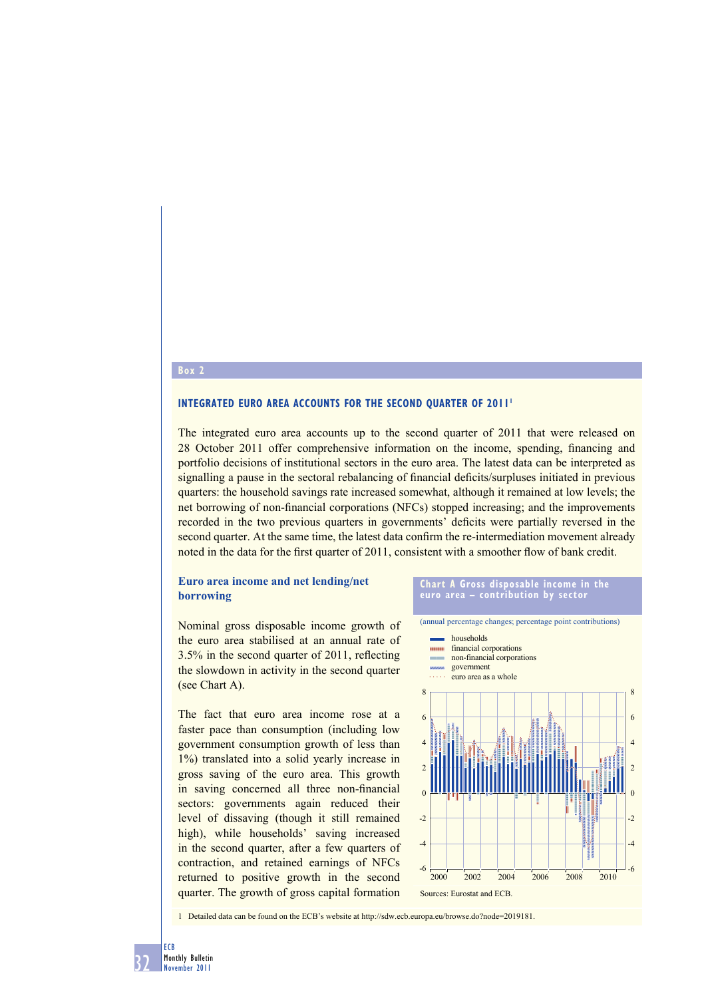### **Box 2**

#### **INTEGRATED EURO AREA ACCOUNTS FOR THE SECOND OUARTER OF 2011'**

The integrated euro area accounts up to the second quarter of 2011 that were released on 28 October 2011 offer comprehensive information on the income, spending, financing and portfolio decisions of institutional sectors in the euro area. The latest data can be interpreted as signalling a pause in the sectoral rebalancing of financial deficits/surpluses initiated in previous quarters: the household savings rate increased somewhat, although it remained at low levels; the net borrowing of non-financial corporations (NFCs) stopped increasing; and the improvements recorded in the two previous quarters in governments' deficits were partially reversed in the second quarter. At the same time, the latest data confirm the re-intermediation movement already noted in the data for the first quarter of 2011, consistent with a smoother flow of bank credit.

## **Euro area income and net lending/net borrowing**

Nominal gross disposable income growth of the euro area stabilised at an annual rate of  $3.5\%$  in the second quarter of 2011, reflecting the slowdown in activity in the second quarter (see Chart A).

The fact that euro area income rose at a faster pace than consumption (including low government consumption growth of less than 1%) translated into a solid yearly increase in gross saving of the euro area. This growth in saving concerned all three non-financial sectors: governments again reduced their level of dissaving (though it still remained high), while households' saving increased in the second quarter, after a few quarters of contraction, and retained earnings of NFCs returned to positive growth in the second quarter. The growth of gross capital formation





1 Detailed data can be found on the ECB's website at http://sdw.ecb.europa.eu/browse.do?node=2019181.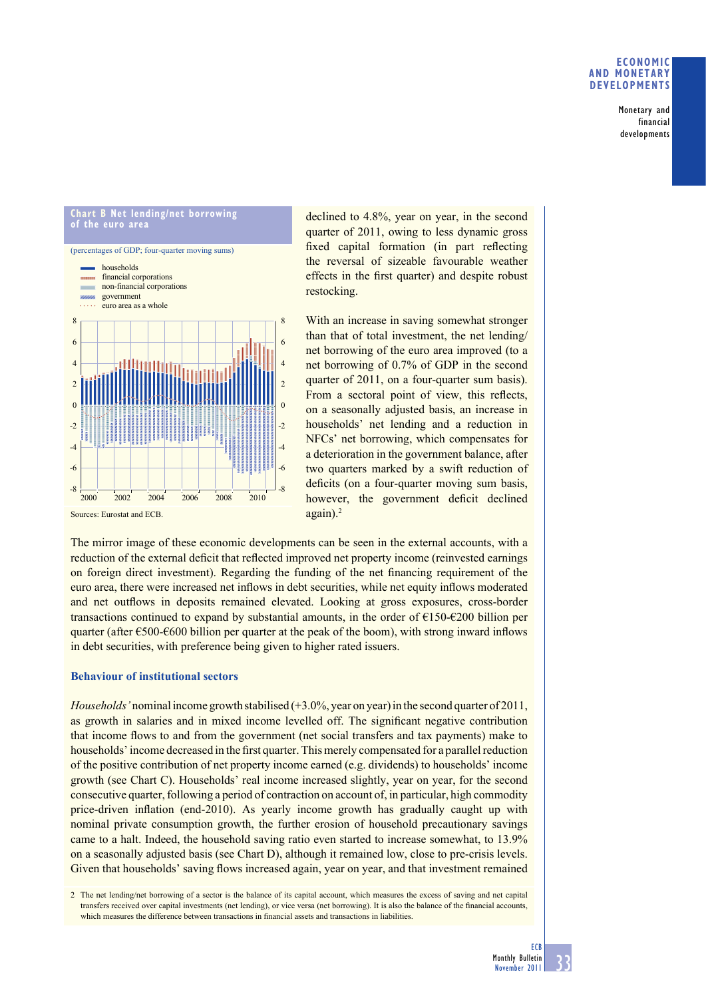## **ECONOMIC AND MONETARY DEVELOPMENTS**

Monetary and financial developments

#### **Chart B Net lending/net borrowing of the euro area** (percentages of GDP; four-quarter moving sums) -8 -6 -4 -2  $\boldsymbol{0}$ 2 4 6 8 -8 -6 -4 -2  $\boldsymbol{0}$  $\overline{2}$ 4 6 8 households non-financial corporations **financial corporations** government euro area as a whole 2000 2002 2004 2006 2008 2010 Sources: Eurostat and ECB.

declined to 4.8%, year on year, in the second quarter of 2011, owing to less dynamic gross fixed capital formation (in part reflecting the reversal of sizeable favourable weather effects in the first quarter) and despite robust restocking.

With an increase in saving somewhat stronger than that of total investment, the net lending/ net borrowing of the euro area improved (to a net borrowing of 0.7% of GDP in the second quarter of 2011, on a four-quarter sum basis). From a sectoral point of view, this reflects, on a seasonally adjusted basis, an increase in households' net lending and a reduction in NFCs' net borrowing, which compensates for a deterioration in the government balance, after two quarters marked by a swift reduction of deficits (on a four-quarter moving sum basis, however, the government deficit declined again).2

The mirror image of these economic developments can be seen in the external accounts, with a reduction of the external deficit that reflected improved net property income (reinvested earnings on foreign direct investment). Regarding the funding of the net financing requirement of the euro area, there were increased net inflows in debt securities, while net equity inflows moderated and net outflows in deposits remained elevated. Looking at gross exposures, cross-border transactions continued to expand by substantial amounts, in the order of  $\epsilon$ 150- $\epsilon$ 200 billion per quarter (after  $\epsilon$ 500- $\epsilon$ 600 billion per quarter at the peak of the boom), with strong inward inflows in debt securities, with preference being given to higher rated issuers.

## **Behaviour of institutional sectors**

*Households'* nominal income growth stabilised (+3.0%, year on year) in the second quarter of 2011, as growth in salaries and in mixed income levelled off. The significant negative contribution that income flows to and from the government (net social transfers and tax payments) make to households' income decreased in the first quarter. This merely compensated for a parallel reduction of the positive contribution of net property income earned (e.g. dividends) to households' income growth (see Chart C). Households' real income increased slightly, year on year, for the second consecutive quarter, following a period of contraction on account of, in particular, high commodity price-driven inflation (end-2010). As yearly income growth has gradually caught up with nominal private consumption growth, the further erosion of household precautionary savings came to a halt. Indeed, the household saving ratio even started to increase somewhat, to 13.9% on a seasonally adjusted basis (see Chart D), although it remained low, close to pre-crisis levels. Given that households' saving flows increased again, year on year, and that investment remained

2 The net lending/net borrowing of a sector is the balance of its capital account, which measures the excess of saving and net capital transfers received over capital investments (net lending), or vice versa (net borrowing). It is also the balance of the financial accounts, which measures the difference between transactions in financial assets and transactions in liabilities.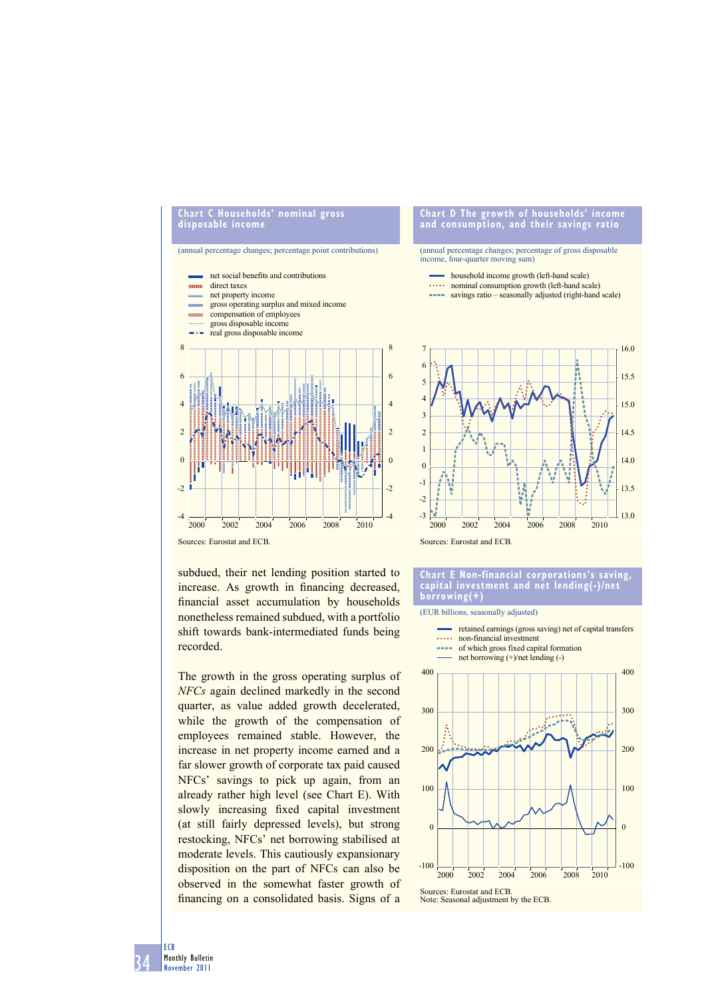#### **Chart C Households' nominal gross disposable income**

(annual percentage changes; percentage point contributions)



subdued, their net lending position started to increase. As growth in financing decreased, financial asset accumulation by households nonetheless remained subdued, with a portfolio shift towards bank-intermediated funds being recorded.

The growth in the gross operating surplus of *NFCs* again declined markedly in the second quarter, as value added growth decelerated, while the growth of the compensation of employees remained stable. However, the increase in net property income earned and a far slower growth of corporate tax paid caused NFCs' savings to pick up again, from an already rather high level (see Chart E). With slowly increasing fixed capital investment (at still fairly depressed levels), but strong restocking, NFCs' net borrowing stabilised at moderate levels. This cautiously expansionary disposition on the part of NFCs can also be observed in the somewhat faster growth of financing on a consolidated basis. Signs of a

#### **Chart D The growth of households' income and consumption, and their savings ratio**

# (annual percentage changes; percentage of gross disposable income, four-quarter moving sum)

- household income growth (left-hand scale)
- nominal consumption growth (left-hand scale)
- **savings ratio** seasonally adjusted (right-hand scale)





#### **Chart E Non-financial corporations's saving, capital investment and net lending(-)/net borrowing(+)**

(EUR billions, seasonally adjusted)



34 ECB Monthly Bulletin November 2011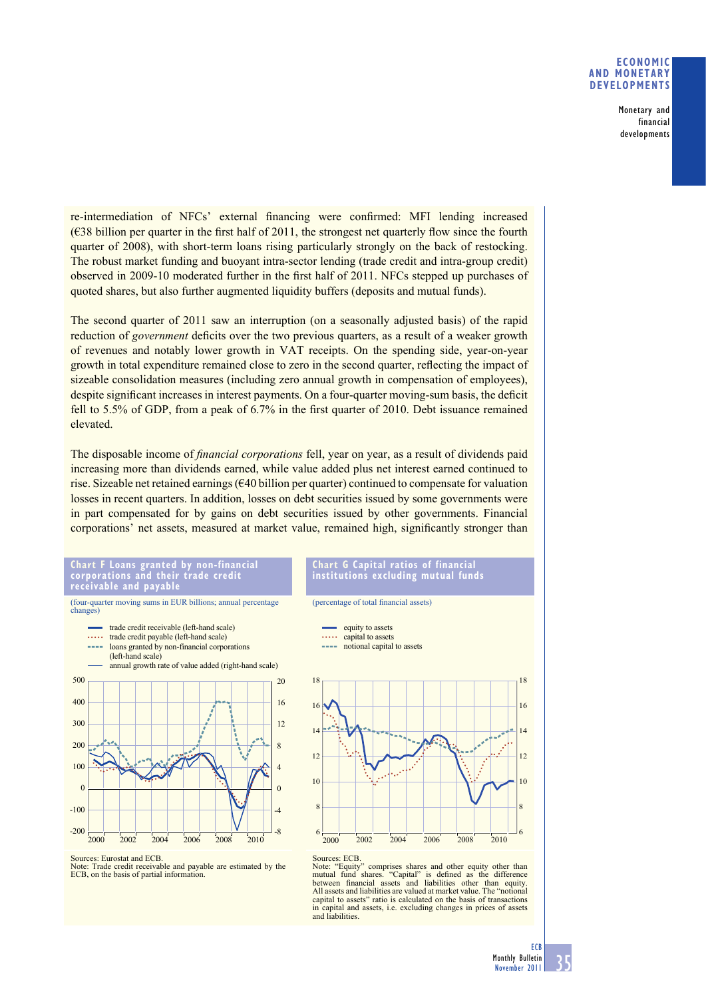## **ECONOMIC AND MONETARY DEVELOPMENTS**

Monetary and financial developments

re-intermediation of NFCs' external financing were confirmed: MFI lending increased  $(638 \text{ billion per quarter in the first half of } 2011$ , the strongest net quarterly flow since the fourth quarter of 2008), with short-term loans rising particularly strongly on the back of restocking. The robust market funding and buoyant intra-sector lending (trade credit and intra-group credit) observed in 2009-10 moderated further in the first half of 2011. NFCs stepped up purchases of quoted shares, but also further augmented liquidity buffers (deposits and mutual funds).

The second quarter of 2011 saw an interruption (on a seasonally adjusted basis) of the rapid reduction of *government* deficits over the two previous quarters, as a result of a weaker growth of revenues and notably lower growth in VAT receipts. On the spending side, year-on-year growth in total expenditure remained close to zero in the second quarter, reflecting the impact of sizeable consolidation measures (including zero annual growth in compensation of employees), despite significant increases in interest payments. On a four-quarter moving-sum basis, the deficit fell to 5.5% of GDP, from a peak of 6.7% in the first quarter of 2010. Debt issuance remained elevated.

The disposable income of *financial corporations* fell, year on year, as a result of dividends paid increasing more than dividends earned, while value added plus net interest earned continued to rise. Sizeable net retained earnings (€40 billion per quarter) continued to compensate for valuation losses in recent quarters. In addition, losses on debt securities issued by some governments were in part compensated for by gains on debt securities issued by other governments. Financial corporations' net assets, measured at market value, remained high, significantly stronger than

**Chart F Loans granted by non-financial corporations and their trade credit receivable and payable**

(four-quarter moving sums in EUR billions; annual percentage changes) trade credit receivable (left-hand scale)  $\overline{1}$ trade credit payable (left-hand scale) loans granted by non-financial corporations (left-hand scale) annual growth rate of value added (right-hand scale) 500 20 400 16 300 12 200 8 100 4  $\Omega$  $\overline{0}$ -100 -4 -200 -8 2000 2002 2004 2006 2008 2010

**Chart G Capital ratios of financial institutions excluding mutual funds**

(percentage of total financial assets)



Sources: Eurostat and ECB.

Trade credit receivable and payable are estimated by the ECB, on the basis of partial information.

Note: "Equity" comprises shares and other equity other than<br>mutual fund shares. "Capital" is defined as the difference<br>between financial assets and liabilities other than equity.<br>All assets and liabilities are valued at ma capital to assets" ratio is calculated on the basis of transactions in capital and assets, i.e. excluding changes in prices of assets and liabilities.